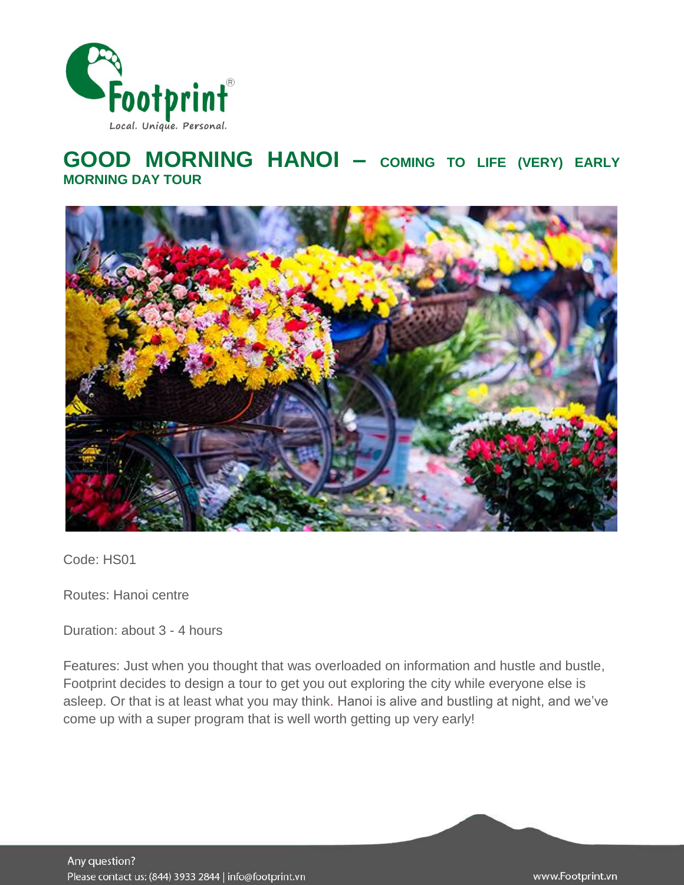

# **GOOD MORNING HANOI – COMING TO LIFE (VERY) EARLY MORNING DAY TOUR**



Code: HS01

Routes: Hanoi centre

Duration: about 3 - 4 hours

Features: Just when you thought that was overloaded on information and hustle and bustle, Footprint decides to design a tour to get you out exploring the city while everyone else is asleep. Or that is at least what you may think. Hanoi is alive and bustling at night, and we've come up with a super program that is well worth getting up very early!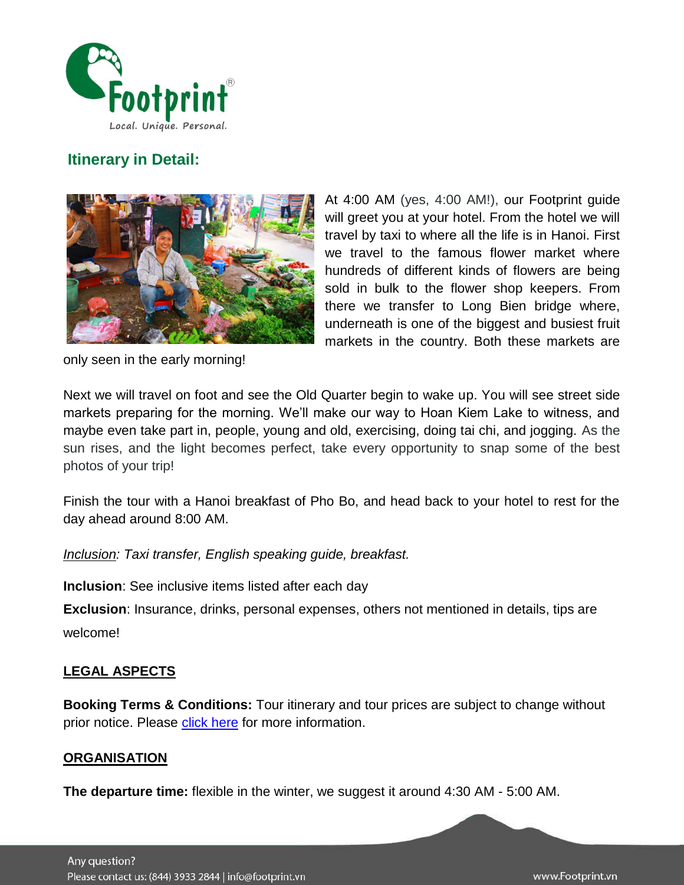

## **Itinerary in Detail:**



At 4:00 AM (yes, 4:00 AM!), our Footprint guide will greet you at your hotel. From the hotel we will travel by taxi to where all the life is in Hanoi. First we travel to the famous flower market where hundreds of different kinds of flowers are being sold in bulk to the flower shop keepers. From there we transfer to Long Bien bridge where, underneath is one of the biggest and busiest fruit markets in the country. Both these markets are

only seen in the early morning!

Next we will travel on foot and see the Old Quarter begin to wake up. You will see street side markets preparing for the morning. We'll make our way to Hoan Kiem Lake to witness, and maybe even take part in, people, young and old, exercising, doing tai chi, and jogging. As the sun rises, and the light becomes perfect, take every opportunity to snap some of the best photos of your trip!

Finish the tour with a Hanoi breakfast of Pho Bo, and head back to your hotel to rest for the day ahead around 8:00 AM.

*Inclusion: Taxi transfer, English speaking guide, breakfast.*

**Inclusion**: See inclusive items listed after each day

**Exclusion**: Insurance, drinks, personal expenses, others not mentioned in details, tips are welcome!

## **LEGAL ASPECTS**

**Booking Terms & Conditions:** Tour itinerary and tour prices are subject to change without prior notice. Please [click here](http://www.footprintsvietnam.com/Resources/Footprint/Terms-Conditions-for-Booking-Traveling-with-Footprint-Travel.htm) for more information.

#### **ORGANISATION**

**The departure time:** flexible in the winter, we suggest it around 4:30 AM - 5:00 AM.